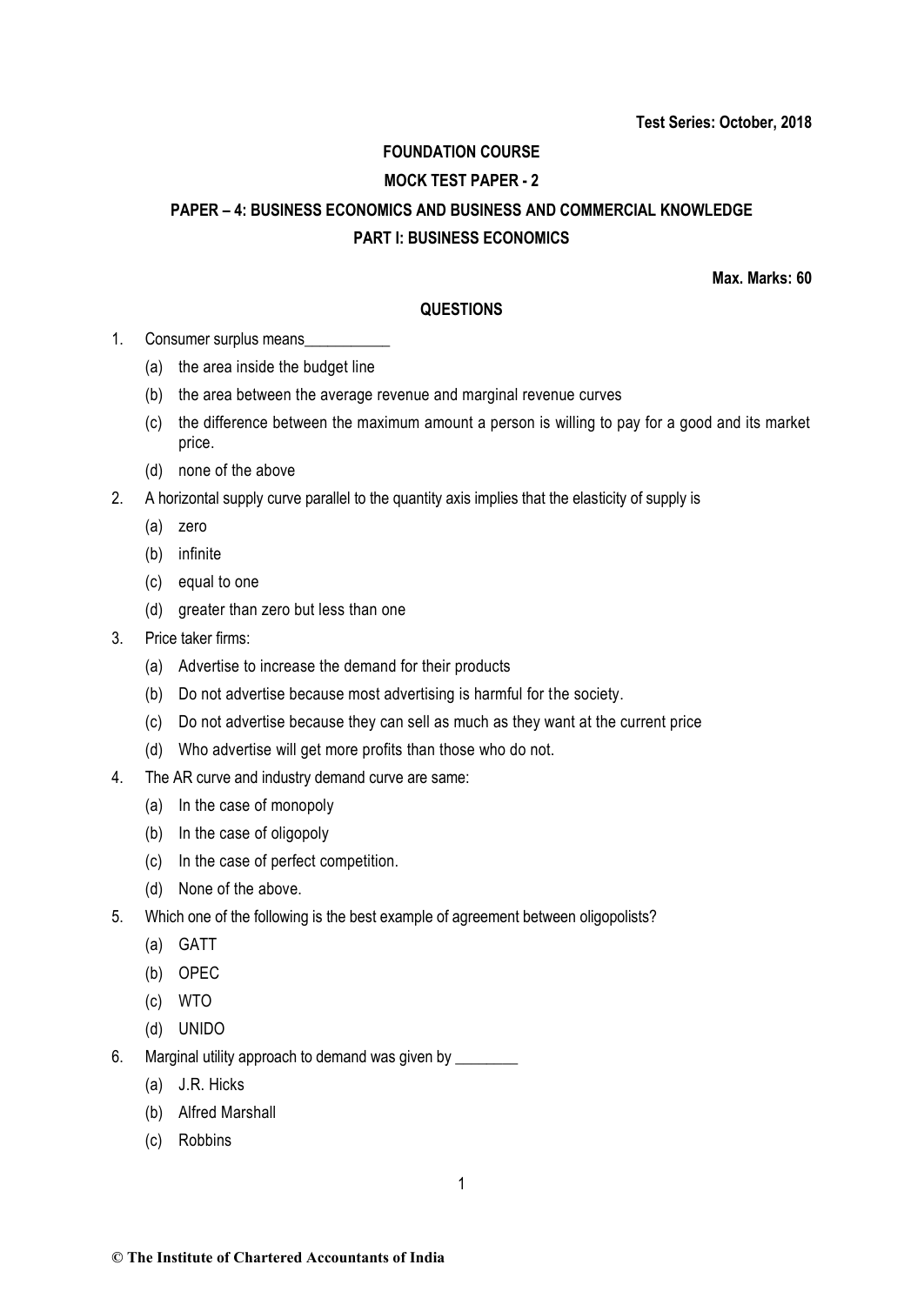## **FOUNDATION COURSE**

## **MOCK TEST PAPER - 2**

# **PAPER – 4: BUSINESS ECONOMICS AND BUSINESS AND COMMERCIAL KNOWLEDGE PART I: BUSINESS ECONOMICS**

**Max. Marks: 60**

## **QUESTIONS**

- 1. Consumer surplus means\_\_\_\_\_
	- (a) the area inside the budget line
	- (b) the area between the average revenue and marginal revenue curves
	- (c) the difference between the maximum amount a person is willing to pay for a good and its market price.
	- (d) none of the above
- 2. A horizontal supply curve parallel to the quantity axis implies that the elasticity of supply is
	- (a) zero
	- (b) infinite
	- (c) equal to one
	- (d) greater than zero but less than one
- 3. Price taker firms:
	- (a) Advertise to increase the demand for their products
	- (b) Do not advertise because most advertising is harmful for the society.
	- (c) Do not advertise because they can sell as much as they want at the current price
	- (d) Who advertise will get more profits than those who do not.
- 4. The AR curve and industry demand curve are same:
	- (a) In the case of monopoly
	- (b) In the case of oligopoly
	- (c) In the case of perfect competition.
	- (d) None of the above.
- 5. Which one of the following is the best example of agreement between oligopolists?
	- (a) GATT
	- (b) OPEC
	- (c) WTO
	- (d) UNIDO
- 6. Marginal utility approach to demand was given by \_\_\_\_\_\_\_\_
	- (a) J.R. Hicks
	- (b) Alfred Marshall
	- (c) Robbins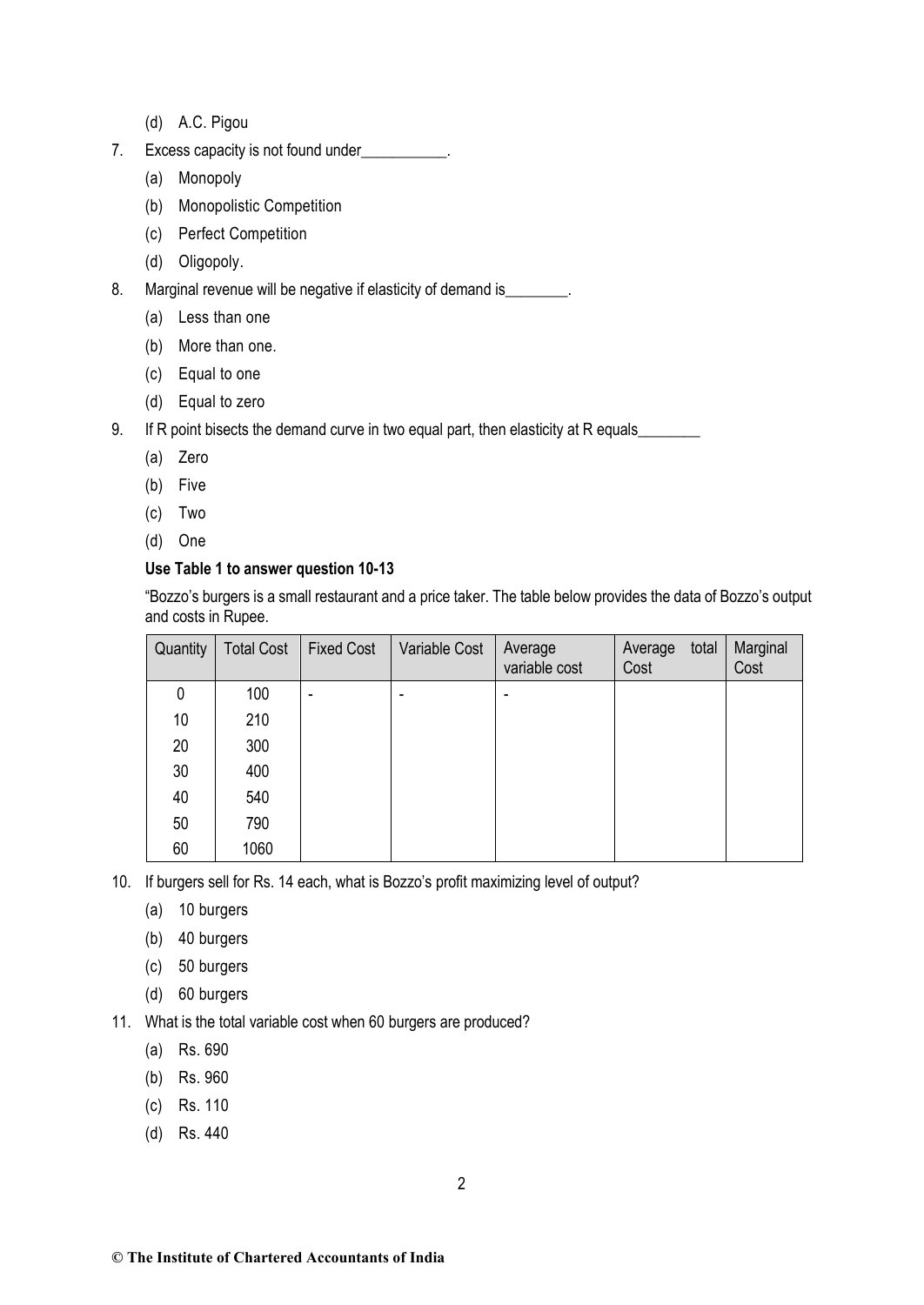- (d) A.C. Pigou
- 7. Excess capacity is not found under
	- (a) Monopoly
	- (b) Monopolistic Competition
	- (c) Perfect Competition
	- (d) Oligopoly.
- 8. Marginal revenue will be negative if elasticity of demand is
	- (a) Less than one
	- (b) More than one.
	- (c) Equal to one
	- (d) Equal to zero
- 9. If R point bisects the demand curve in two equal part, then elasticity at R equals
	- (a) Zero
	- (b) Five
	- (c) Two
	- (d) One

# **Use Table 1 to answer question 10-13**

"Bozzo's burgers is a small restaurant and a price taker. The table below provides the data of Bozzo's output and costs in Rupee.

| Quantity | <b>Total Cost</b> | <b>Fixed Cost</b>        | Variable Cost | Average<br>variable cost | total<br>Average<br>Cost | Marginal<br>Cost |
|----------|-------------------|--------------------------|---------------|--------------------------|--------------------------|------------------|
| 0        | 100               | $\overline{\phantom{0}}$ | ۰             |                          |                          |                  |
| 10       | 210               |                          |               |                          |                          |                  |
| 20       | 300               |                          |               |                          |                          |                  |
| 30       | 400               |                          |               |                          |                          |                  |
| 40       | 540               |                          |               |                          |                          |                  |
| 50       | 790               |                          |               |                          |                          |                  |
| 60       | 1060              |                          |               |                          |                          |                  |

10. If burgers sell for Rs. 14 each, what is Bozzo's profit maximizing level of output?

- (a) 10 burgers
- (b) 40 burgers
- (c) 50 burgers
- (d) 60 burgers

11. What is the total variable cost when 60 burgers are produced?

- (a) Rs. 690
- (b) Rs. 960
- (c) Rs. 110
- (d) Rs. 440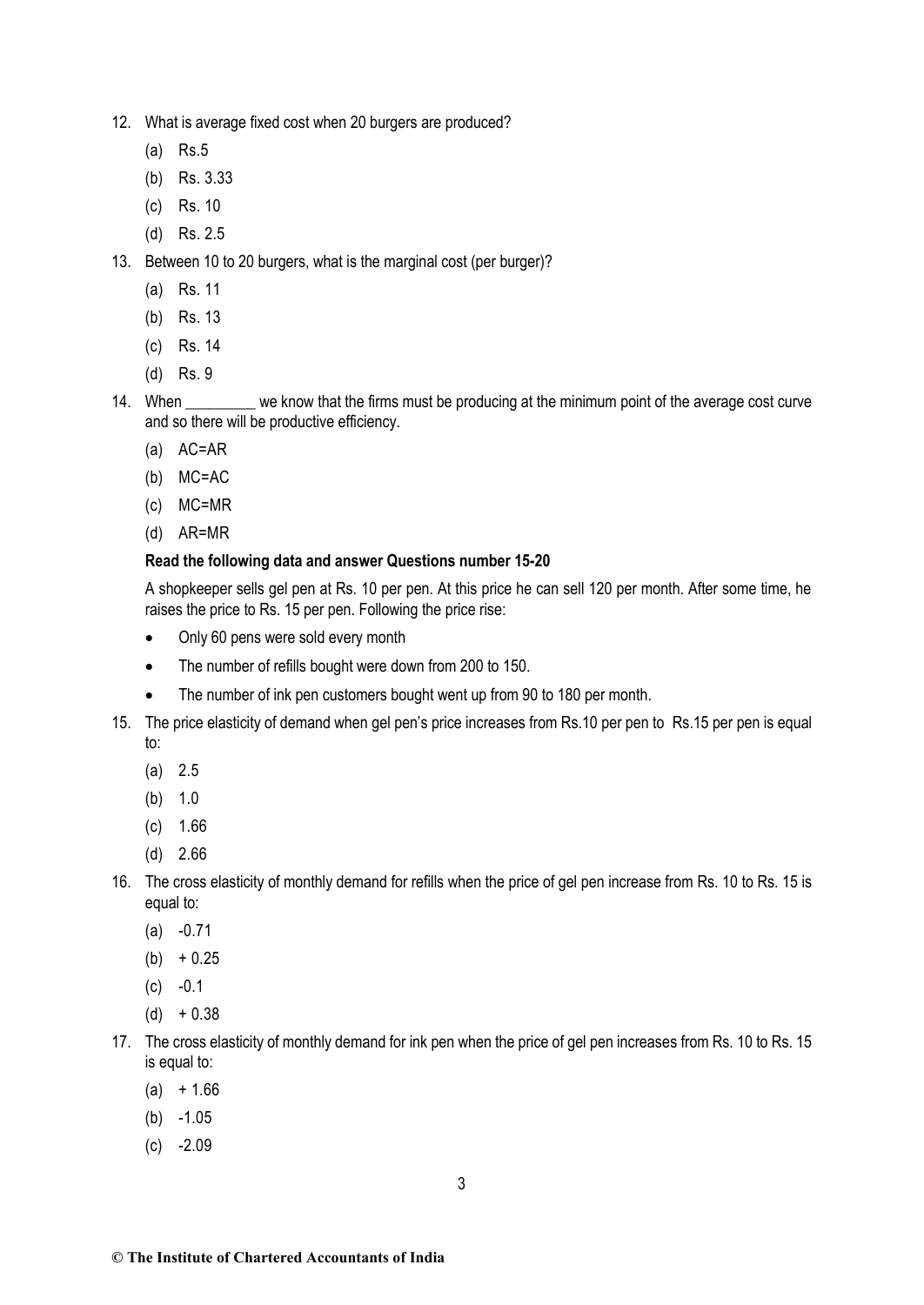- 12. What is average fixed cost when 20 burgers are produced?
	- (a) Rs.5
	- (b) Rs. 3.33
	- (c) Rs. 10
	- (d) Rs. 2.5
- 13. Between 10 to 20 burgers, what is the marginal cost (per burger)?
	- (a) Rs. 11
	- (b) Rs. 13
	- (c) Rs. 14
	- (d) Rs. 9
- 14. When we know that the firms must be producing at the minimum point of the average cost curve and so there will be productive efficiency.
	- (a) AC=AR
	- (b) MC=AC
	- (c) MC=MR
	- (d) AR=MR

# **Read the following data and answer Questions number 15-20**

A shopkeeper sells gel pen at Rs. 10 per pen. At this price he can sell 120 per month. After some time, he raises the price to Rs. 15 per pen. Following the price rise:

- Only 60 pens were sold every month
- The number of refills bought were down from 200 to 150.
- The number of ink pen customers bought went up from 90 to 180 per month.
- 15. The price elasticity of demand when gel pen's price increases from Rs.10 per pen to Rs.15 per pen is equal to:
	- (a) 2.5
	- (b) 1.0
	- (c) 1.66
	- (d) 2.66
- 16. The cross elasticity of monthly demand for refills when the price of gel pen increase from Rs. 10 to Rs. 15 is equal to:
	- (a) -0.71
	- $(b) + 0.25$
	- $(c) -0.1$
	- $(d) + 0.38$
- 17. The cross elasticity of monthly demand for ink pen when the price of gel pen increases from Rs. 10 to Rs. 15 is equal to:
	- $(a) + 1.66$
	- (b) -1.05
	- $(c) -2.09$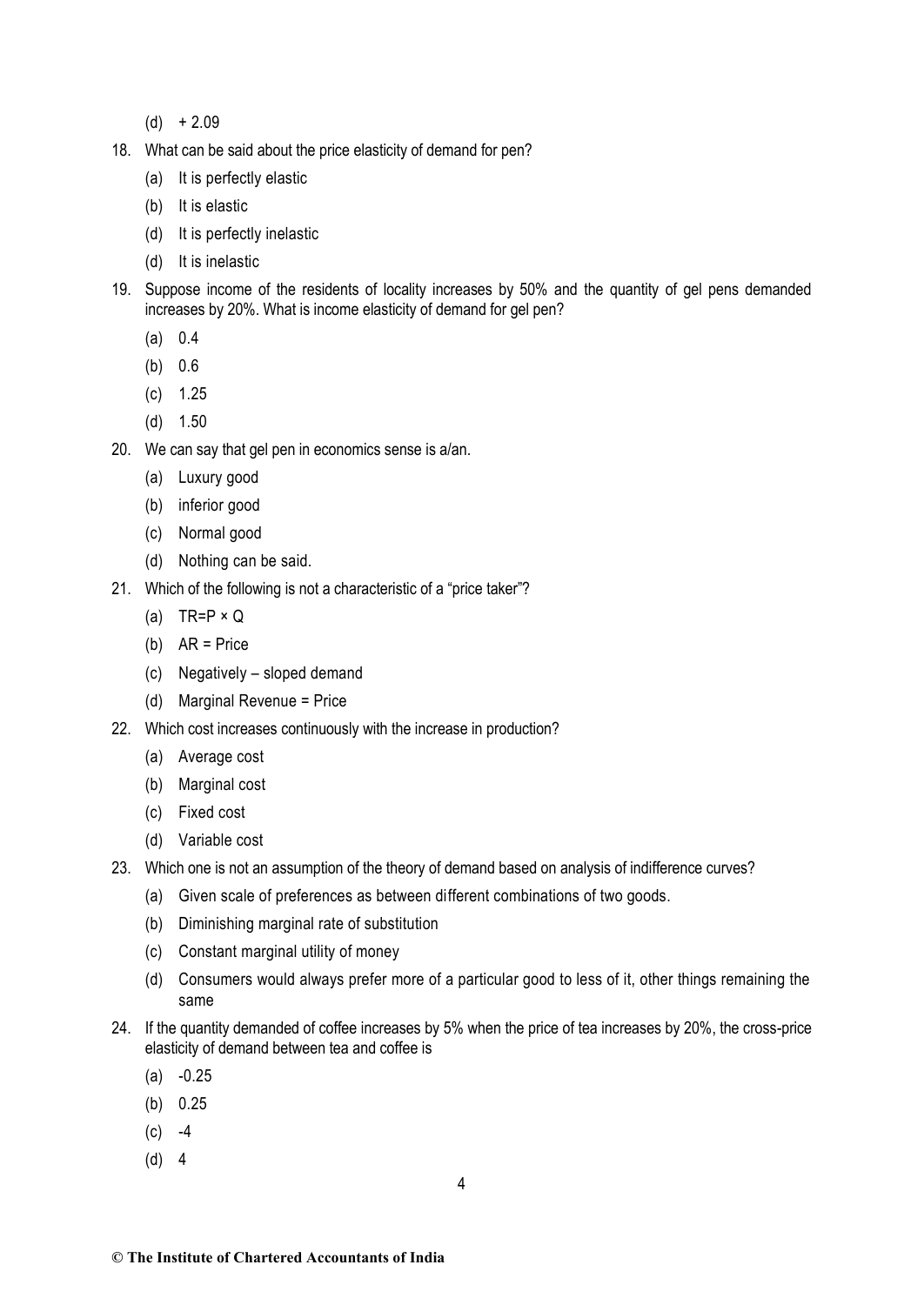- $(d) + 2.09$
- 18. What can be said about the price elasticity of demand for pen?
	- (a) It is perfectly elastic
	- (b) It is elastic
	- (d) It is perfectly inelastic
	- (d) It is inelastic
- 19. Suppose income of the residents of locality increases by 50% and the quantity of gel pens demanded increases by 20%. What is income elasticity of demand for gel pen?
	- (a) 0.4
	- (b) 0.6
	- (c) 1.25
	- (d) 1.50
- 20. We can say that gel pen in economics sense is a/an.
	- (a) Luxury good
	- (b) inferior good
	- (c) Normal good
	- (d) Nothing can be said.
- 21. Which of the following is not a characteristic of a "price taker"?
	- (a) TR=P  $\times$  Q
	- (b) AR = Price
	- (c) Negatively sloped demand
	- (d) Marginal Revenue = Price
- 22. Which cost increases continuously with the increase in production?
	- (a) Average cost
	- (b) Marginal cost
	- (c) Fixed cost
	- (d) Variable cost
- 23. Which one is not an assumption of the theory of demand based on analysis of indifference curves?
	- (a) Given scale of preferences as between different combinations of two goods.
	- (b) Diminishing marginal rate of substitution
	- (c) Constant marginal utility of money
	- (d) Consumers would always prefer more of a particular good to less of it, other things remaining the same
- 24. If the quantity demanded of coffee increases by 5% when the price of tea increases by 20%, the cross-price elasticity of demand between tea and coffee is
	- $(a) -0.25$
	- (b) 0.25
	- $(c) -4$
	- (d) 4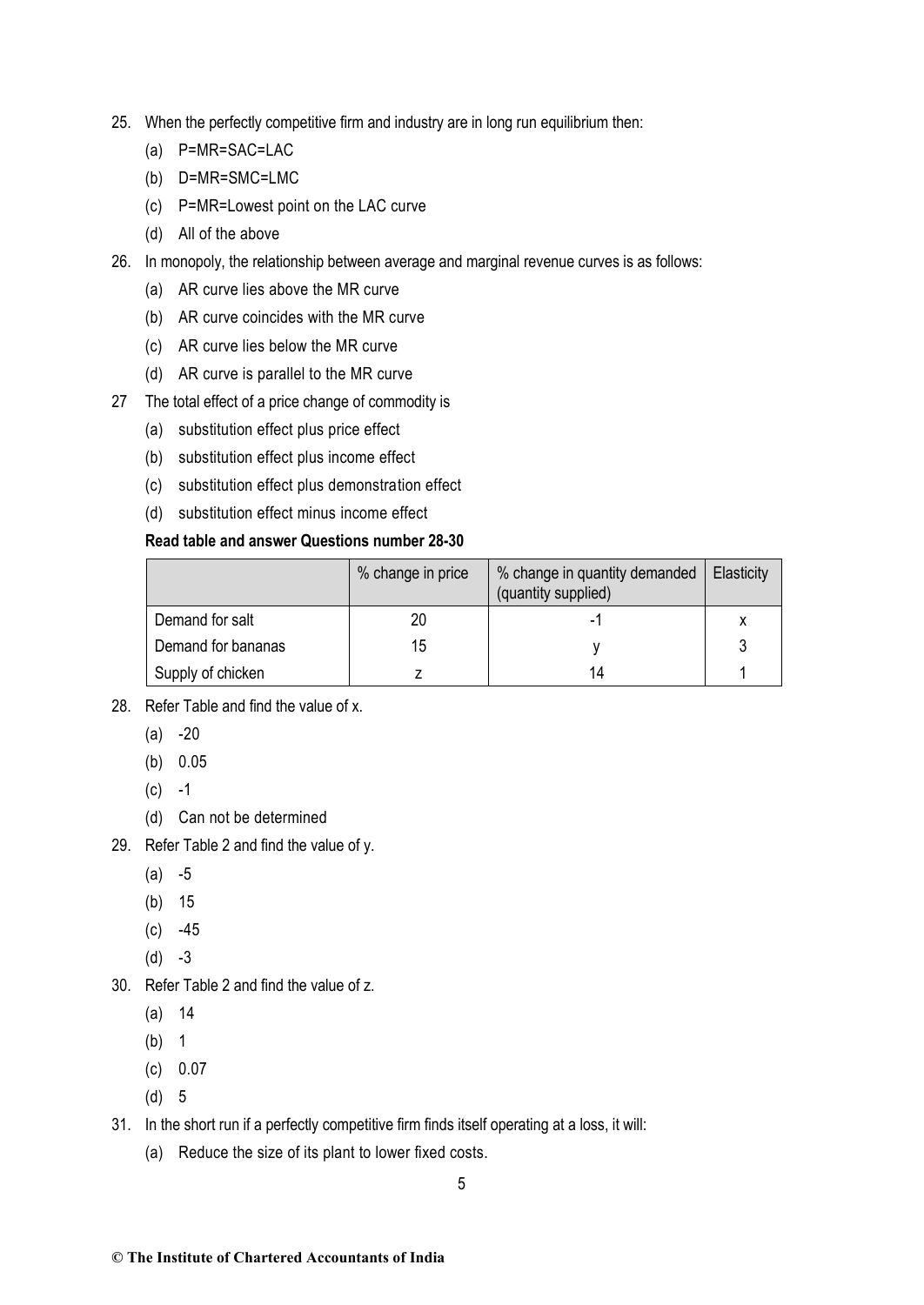- 25. When the perfectly competitive firm and industry are in long run equilibrium then:
	- (a) P=MR=SAC=LAC
	- (b) D=MR=SMC=LMC
	- (c) P=MR=Lowest point on the LAC curve
	- (d) All of the above
- 26. In monopoly, the relationship between average and marginal revenue curves is as follows:
	- (a) AR curve lies above the MR curve
	- (b) AR curve coincides with the MR curve
	- (c) AR curve lies below the MR curve
	- (d) AR curve is parallel to the MR curve
- 27 The total effect of a price change of commodity is
	- (a) substitution effect plus price effect
	- (b) substitution effect plus income effect
	- (c) substitution effect plus demonstration effect
	- (d) substitution effect minus income effect

# **Read table and answer Questions number 28-30**

|                    | % change in price | % change in quantity demanded<br>(quantity supplied) | Elasticity |
|--------------------|-------------------|------------------------------------------------------|------------|
| Demand for salt    | 20                |                                                      | x          |
| Demand for bananas | 15                |                                                      |            |
| Supply of chicken  |                   |                                                      |            |

- 28. Refer Table and find the value of x.
	- $(a) -20$
	- (b) 0.05
	- $(c) -1$
	- (d) Can not be determined
- 29. Refer Table 2 and find the value of y.
	- $(a) -5$
	- (b) 15
	- $(c) -45$
	- $(d) -3$
- 30. Refer Table 2 and find the value of z.
	- (a) 14
	- (b) 1
	- (c) 0.07
	- (d) 5
- 31. In the short run if a perfectly competitive firm finds itself operating at a loss, it will:
	- (a) Reduce the size of its plant to lower fixed costs.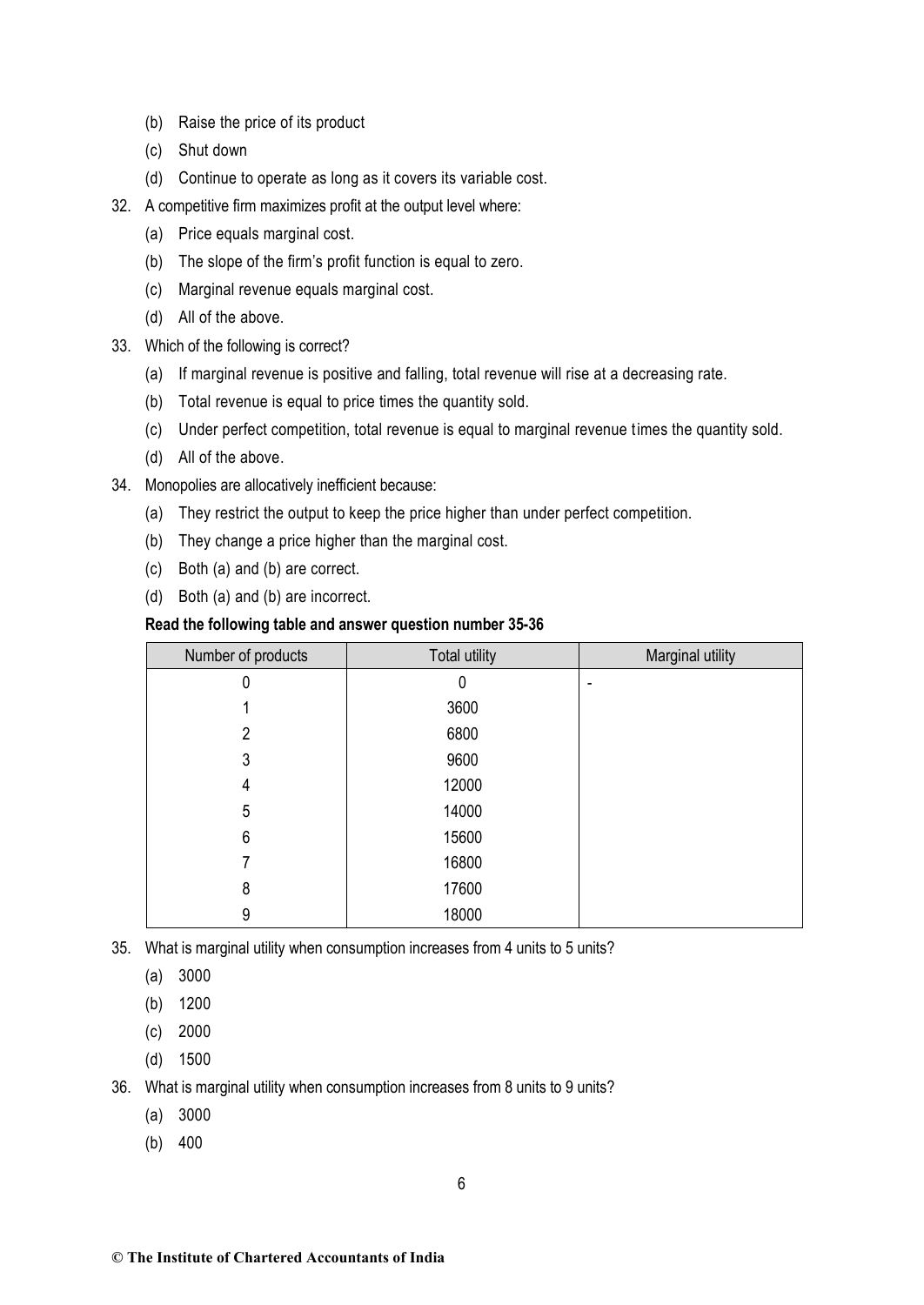- (b) Raise the price of its product
- (c) Shut down
- (d) Continue to operate as long as it covers its variable cost.
- 32. A competitive firm maximizes profit at the output level where:
	- (a) Price equals marginal cost.
	- (b) The slope of the firm's profit function is equal to zero.
	- (c) Marginal revenue equals marginal cost.
	- (d) All of the above.
- 33. Which of the following is correct?
	- (a) If marginal revenue is positive and falling, total revenue will rise at a decreasing rate.
	- (b) Total revenue is equal to price times the quantity sold.
	- (c) Under perfect competition, total revenue is equal to marginal revenue times the quantity sold.
	- (d) All of the above.
- 34. Monopolies are allocatively inefficient because:
	- (a) They restrict the output to keep the price higher than under perfect competition.
	- (b) They change a price higher than the marginal cost.
	- (c) Both (a) and (b) are correct.
	- (d) Both (a) and (b) are incorrect.

#### **Read the following table and answer question number 35-36**

| Number of products | <b>Total utility</b> | Marginal utility |
|--------------------|----------------------|------------------|
| 0                  | 0                    | ۰                |
|                    | 3600                 |                  |
| 2                  | 6800                 |                  |
| 3                  | 9600                 |                  |
| 4                  | 12000                |                  |
| 5                  | 14000                |                  |
| 6                  | 15600                |                  |
|                    | 16800                |                  |
| 8                  | 17600                |                  |
| 9                  | 18000                |                  |

35. What is marginal utility when consumption increases from 4 units to 5 units?

(a) 3000

- (b) 1200
- (c) 2000
- (d) 1500

36. What is marginal utility when consumption increases from 8 units to 9 units?

- (a) 3000
- (b) 400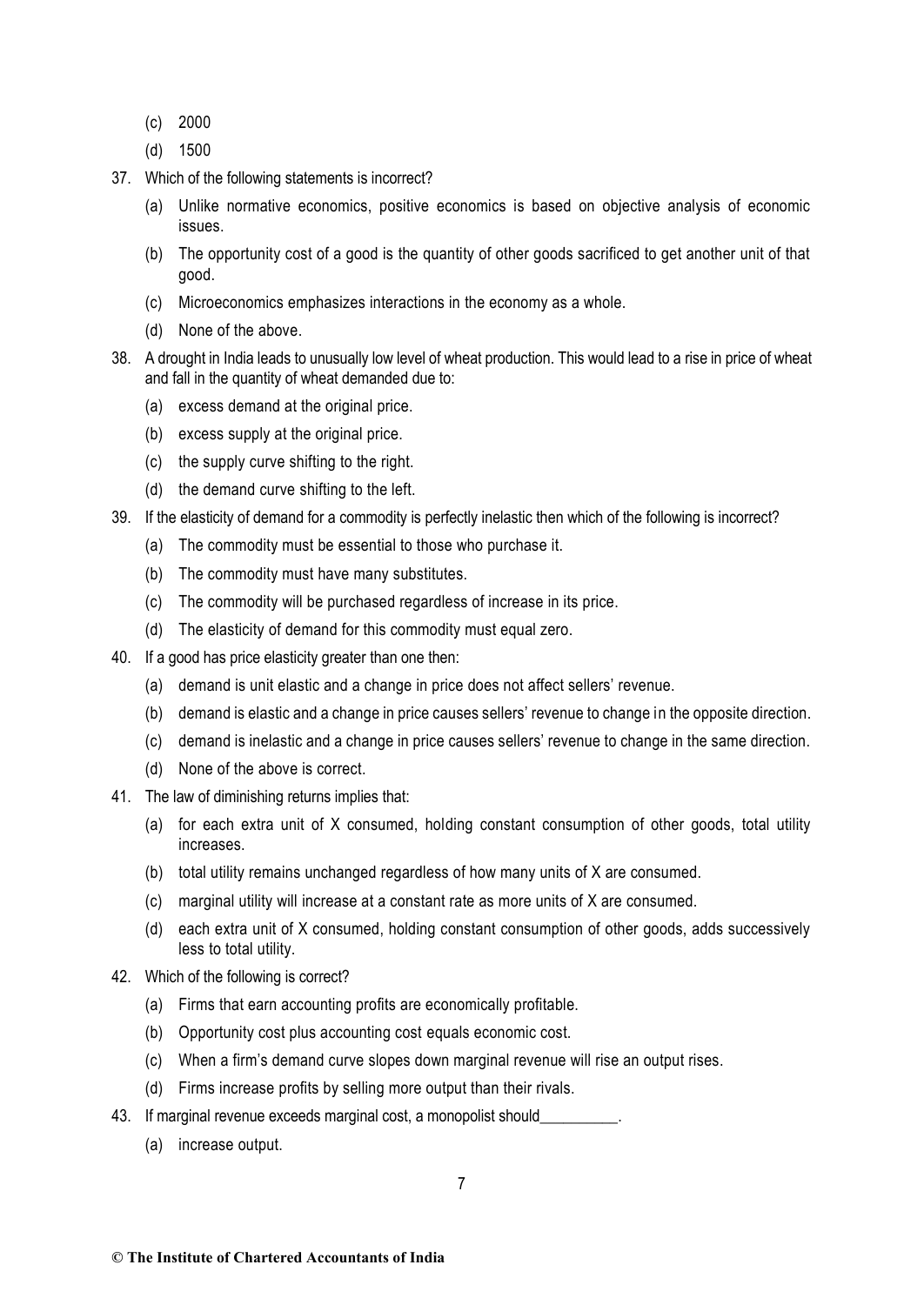- (c) 2000
- (d) 1500
- 37. Which of the following statements is incorrect?
	- (a) Unlike normative economics, positive economics is based on objective analysis of economic issues.
	- (b) The opportunity cost of a good is the quantity of other goods sacrificed to get another unit of that good.
	- (c) Microeconomics emphasizes interactions in the economy as a whole.
	- (d) None of the above.
- 38. A drought in India leads to unusually low level of wheat production. This would lead to a rise in price of wheat and fall in the quantity of wheat demanded due to:
	- (a) excess demand at the original price.
	- (b) excess supply at the original price.
	- (c) the supply curve shifting to the right.
	- (d) the demand curve shifting to the left.
- 39. If the elasticity of demand for a commodity is perfectly inelastic then which of the following is incorrect?
	- (a) The commodity must be essential to those who purchase it.
	- (b) The commodity must have many substitutes.
	- (c) The commodity will be purchased regardless of increase in its price.
	- (d) The elasticity of demand for this commodity must equal zero.
- 40. If a good has price elasticity greater than one then:
	- (a) demand is unit elastic and a change in price does not affect sellers' revenue.
	- (b) demand is elastic and a change in price causes sellers' revenue to change in the opposite direction.
	- (c) demand is inelastic and a change in price causes sellers' revenue to change in the same direction.
	- (d) None of the above is correct.
- 41. The law of diminishing returns implies that:
	- (a) for each extra unit of X consumed, holding constant consumption of other goods, total utility increases.
	- (b) total utility remains unchanged regardless of how many units of X are consumed.
	- (c) marginal utility will increase at a constant rate as more units of X are consumed.
	- (d) each extra unit of X consumed, holding constant consumption of other goods, adds successively less to total utility.
- 42. Which of the following is correct?
	- (a) Firms that earn accounting profits are economically profitable.
	- (b) Opportunity cost plus accounting cost equals economic cost.
	- (c) When a firm's demand curve slopes down marginal revenue will rise an output rises.
	- (d) Firms increase profits by selling more output than their rivals.
- 43. If marginal revenue exceeds marginal cost, a monopolist should\_
	- (a) increase output.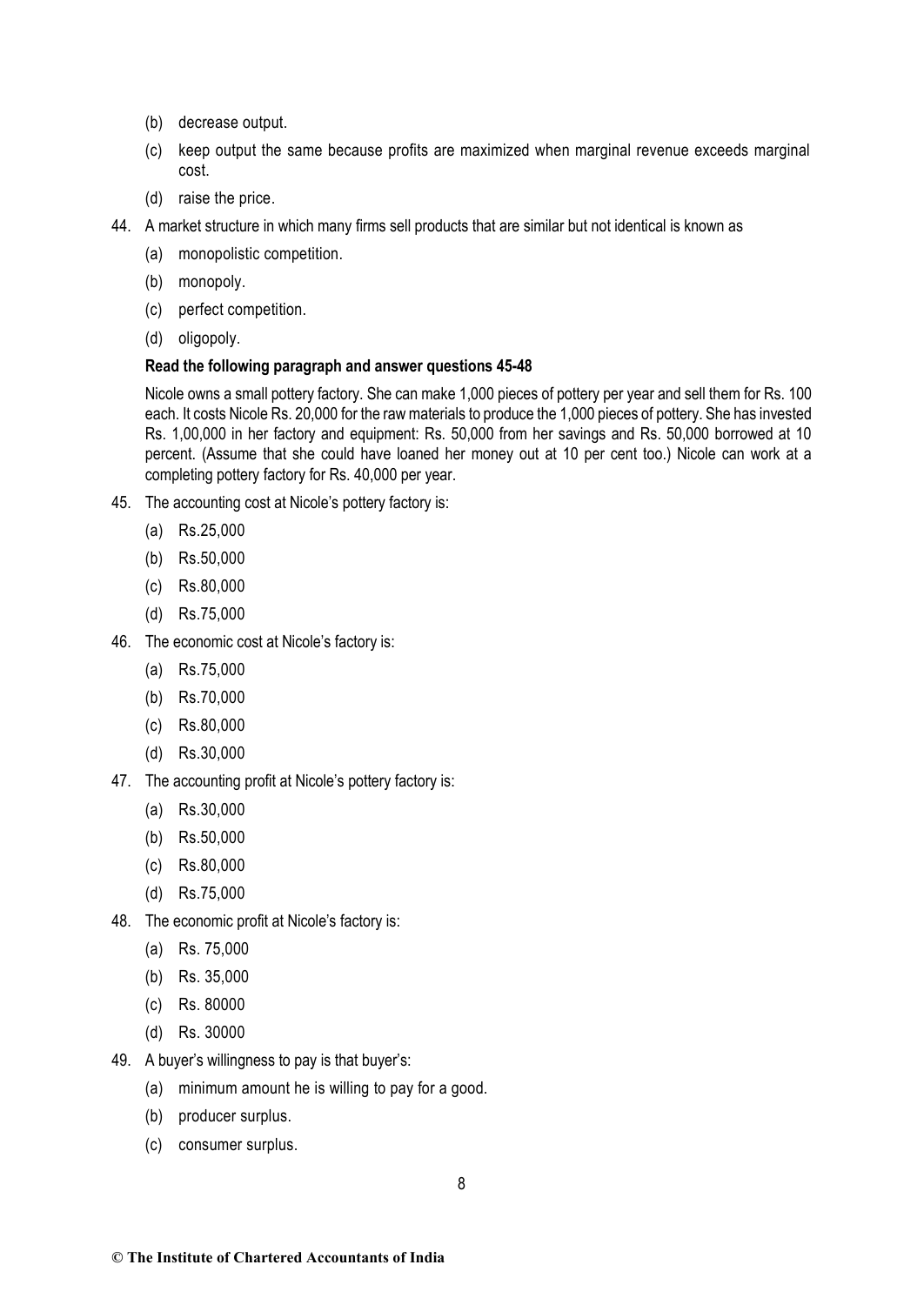- (b) decrease output.
- (c) keep output the same because profits are maximized when marginal revenue exceeds marginal cost.
- (d) raise the price.
- 44. A market structure in which many firms sell products that are similar but not identical is known as
	- (a) monopolistic competition.
	- (b) monopoly.
	- (c) perfect competition.
	- (d) oligopoly.

#### **Read the following paragraph and answer questions 45-48**

Nicole owns a small pottery factory. She can make 1,000 pieces of pottery per year and sell them for Rs. 100 each. It costs Nicole Rs. 20,000 for the raw materials to produce the 1,000 pieces of pottery. She has invested Rs. 1,00,000 in her factory and equipment: Rs. 50,000 from her savings and Rs. 50,000 borrowed at 10 percent. (Assume that she could have loaned her money out at 10 per cent too.) Nicole can work at a completing pottery factory for Rs. 40,000 per year.

- 45. The accounting cost at Nicole's pottery factory is:
	- (a) Rs.25,000
	- (b) Rs.50,000
	- (c) Rs.80,000
	- (d) Rs.75,000
- 46. The economic cost at Nicole's factory is:
	- (a) Rs.75,000
	- (b) Rs.70,000
	- (c) Rs.80,000
	- (d) Rs.30,000
- 47. The accounting profit at Nicole's pottery factory is:
	- (a) Rs.30,000
	- (b) Rs.50,000
	- (c) Rs.80,000
	- (d) Rs.75,000
- 48. The economic profit at Nicole's factory is:
	- (a) Rs. 75,000
	- (b) Rs. 35,000
	- (c) Rs. 80000
	- (d) Rs. 30000
- 49. A buyer's willingness to pay is that buyer's:
	- (a) minimum amount he is willing to pay for a good.
	- (b) producer surplus.
	- (c) consumer surplus.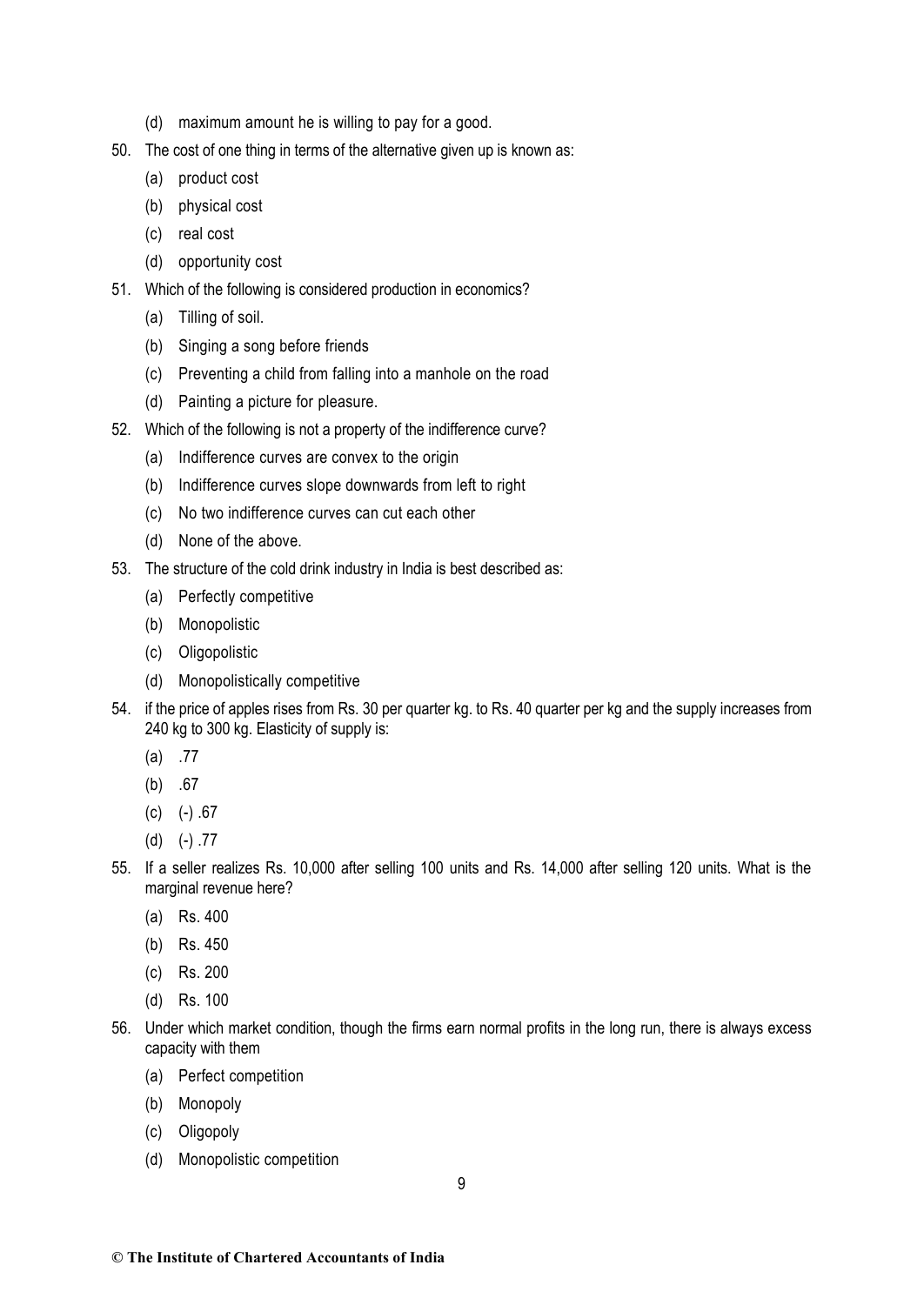- (d) maximum amount he is willing to pay for a good.
- 50. The cost of one thing in terms of the alternative given up is known as:
	- (a) product cost
	- (b) physical cost
	- (c) real cost
	- (d) opportunity cost
- 51. Which of the following is considered production in economics?
	- (a) Tilling of soil.
	- (b) Singing a song before friends
	- (c) Preventing a child from falling into a manhole on the road
	- (d) Painting a picture for pleasure.
- 52. Which of the following is not a property of the indifference curve?
	- (a) Indifference curves are convex to the origin
	- (b) Indifference curves slope downwards from left to right
	- (c) No two indifference curves can cut each other
	- (d) None of the above.
- 53. The structure of the cold drink industry in India is best described as:
	- (a) Perfectly competitive
	- (b) Monopolistic
	- (c) Oligopolistic
	- (d) Monopolistically competitive
- 54. if the price of apples rises from Rs. 30 per quarter kg. to Rs. 40 quarter per kg and the supply increases from 240 kg to 300 kg. Elasticity of supply is:
	- (a) .77
	- (b) .67
	- $(c)$  (-)  $.67$
	- $(d)$  (-) .77
- 55. If a seller realizes Rs. 10,000 after selling 100 units and Rs. 14,000 after selling 120 units. What is the marginal revenue here?
	- (a) Rs. 400
	- (b) Rs. 450
	- (c) Rs. 200
	- (d) Rs. 100
- 56. Under which market condition, though the firms earn normal profits in the long run, there is always excess capacity with them
	- (a) Perfect competition
	- (b) Monopoly
	- (c) Oligopoly
	- (d) Monopolistic competition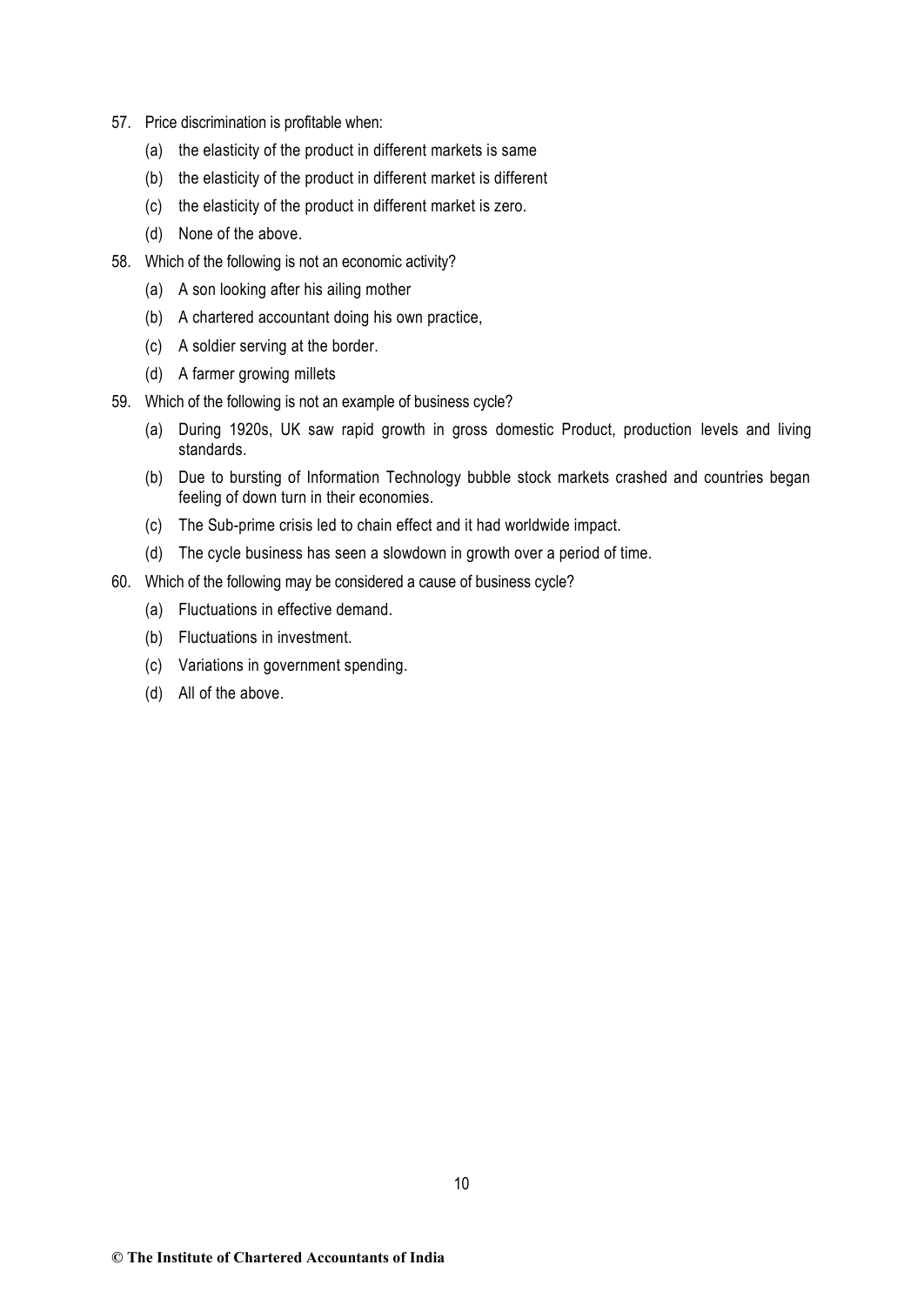- 57. Price discrimination is profitable when:
	- (a) the elasticity of the product in different markets is same
	- (b) the elasticity of the product in different market is different
	- (c) the elasticity of the product in different market is zero.
	- (d) None of the above.
- 58. Which of the following is not an economic activity?
	- (a) A son looking after his ailing mother
	- (b) A chartered accountant doing his own practice,
	- (c) A soldier serving at the border.
	- (d) A farmer growing millets
- 59. Which of the following is not an example of business cycle?
	- (a) During 1920s, UK saw rapid growth in gross domestic Product, production levels and living standards.
	- (b) Due to bursting of Information Technology bubble stock markets crashed and countries began feeling of down turn in their economies.
	- (c) The Sub-prime crisis led to chain effect and it had worldwide impact.
	- (d) The cycle business has seen a slowdown in growth over a period of time.
- 60. Which of the following may be considered a cause of business cycle?
	- (a) Fluctuations in effective demand.
	- (b) Fluctuations in investment.
	- (c) Variations in government spending.
	- (d) All of the above.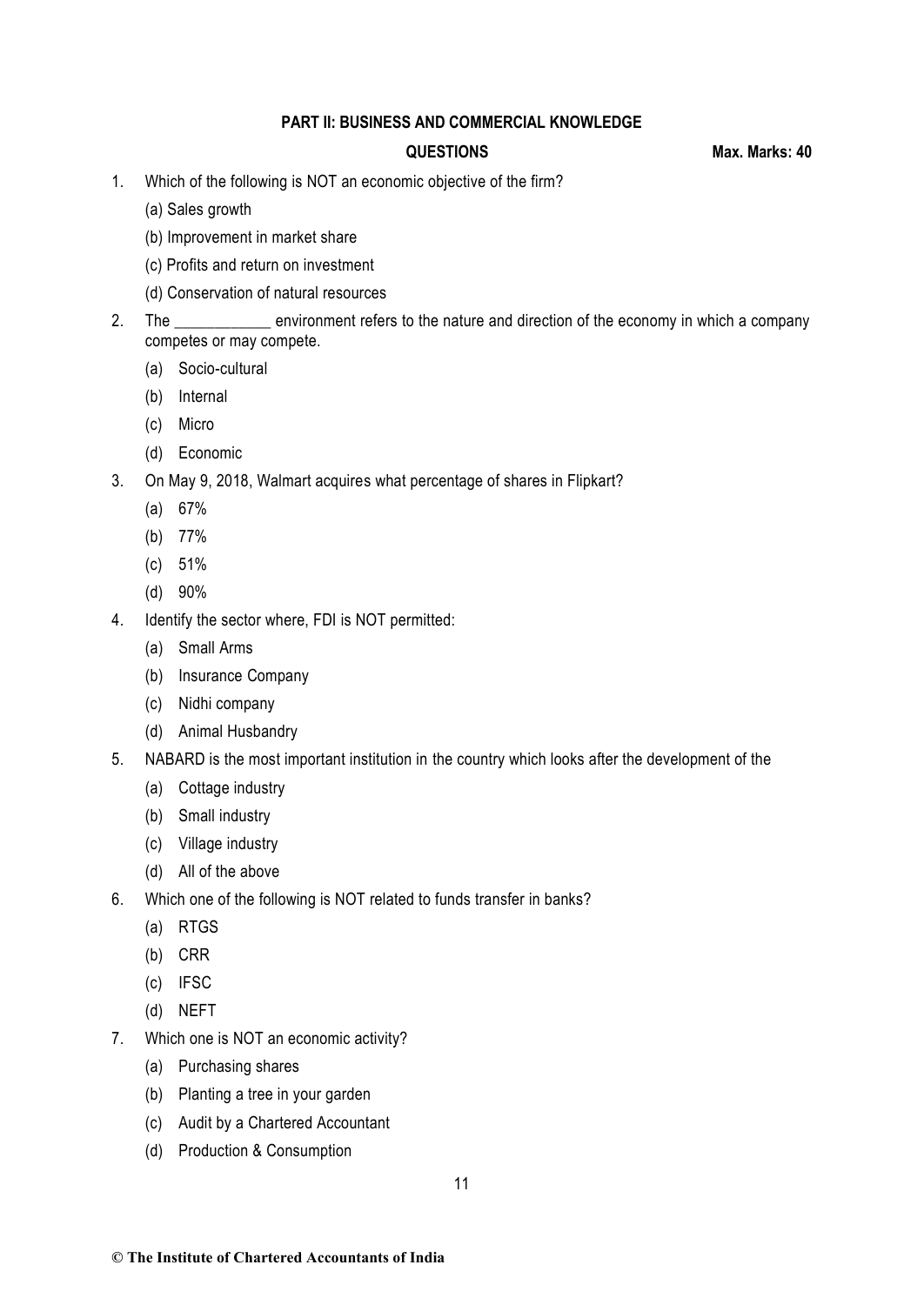### **PART II: BUSINESS AND COMMERCIAL KNOWLEDGE**

**QUESTIONS Max. Marks: 40**

- 1. Which of the following is NOT an economic objective of the firm?
	- (a) Sales growth
	- (b) Improvement in market share
	- (c) Profits and return on investment
	- (d) Conservation of natural resources
- 2. The \_\_\_\_\_\_\_\_\_\_\_\_ environment refers to the nature and direction of the economy in which a company competes or may compete.
	- (a) Socio-cultural
	- (b) Internal
	- (c) Micro
	- (d) Economic
- 3. On May 9, 2018, Walmart acquires what percentage of shares in Flipkart?
	- (a) 67%
	- (b) 77%
	- (c) 51%
	- (d) 90%
- 4. Identify the sector where, FDI is NOT permitted:
	- (a) Small Arms
	- (b) Insurance Company
	- (c) Nidhi company
	- (d) Animal Husbandry
- 5. NABARD is the most important institution in the country which looks after the development of the
	- (a) Cottage industry
	- (b) Small industry
	- (c) Village industry
	- (d) All of the above
- 6. Which one of the following is NOT related to funds transfer in banks?
	- (a) RTGS
	- (b) CRR
	- (c) IFSC
	- (d) NEFT
- 7. Which one is NOT an economic activity?
	- (a) Purchasing shares
	- (b) Planting a tree in your garden
	- (c) Audit by a Chartered Accountant
	- (d) Production & Consumption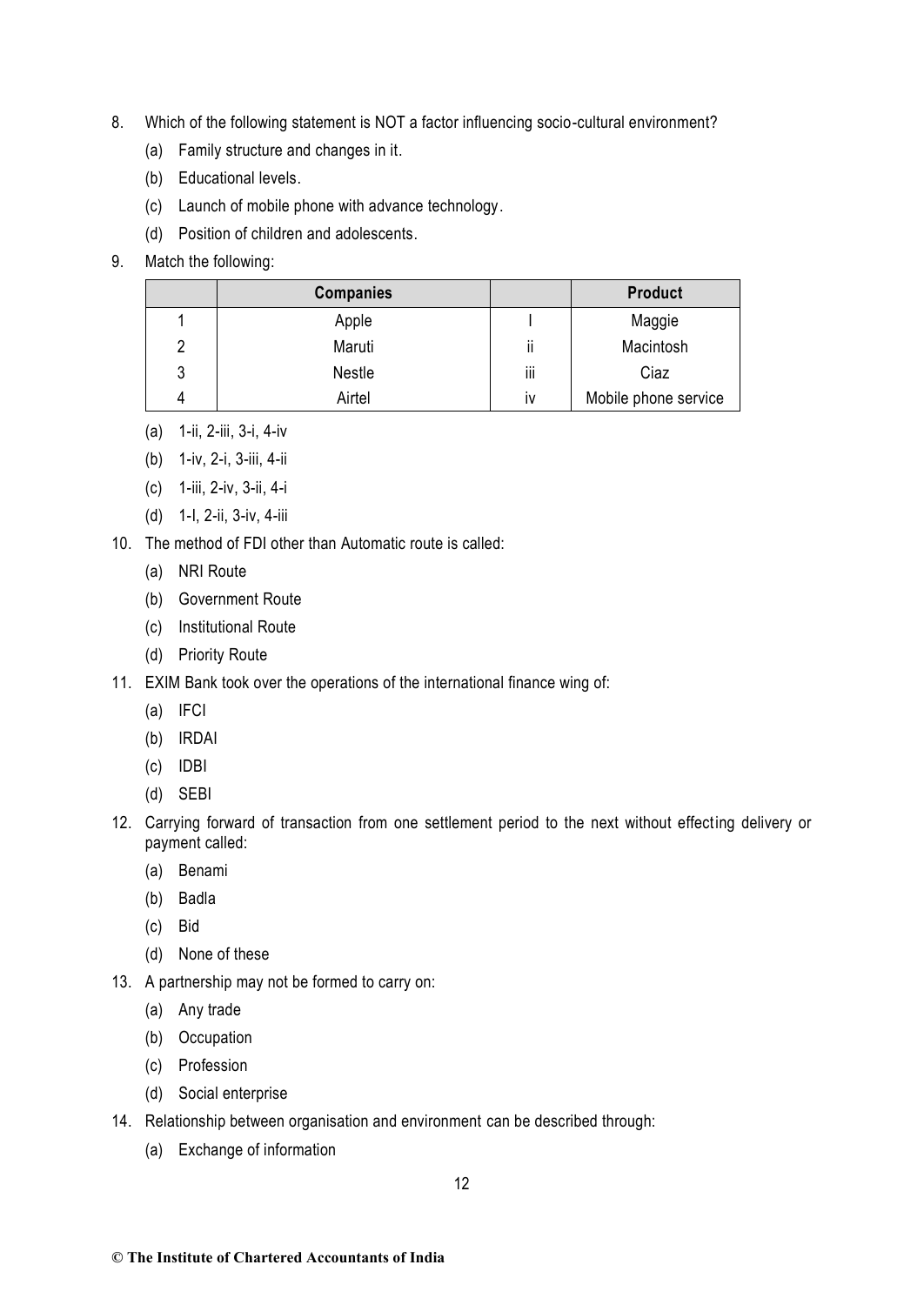- 8. Which of the following statement is NOT a factor influencing socio-cultural environment?
	- (a) Family structure and changes in it.
	- (b) Educational levels.
	- (c) Launch of mobile phone with advance technology.
	- (d) Position of children and adolescents.
- 9. Match the following:

|   | <b>Companies</b> |                           | <b>Product</b>       |
|---|------------------|---------------------------|----------------------|
|   | Apple            |                           | Maggie               |
| 2 | Maruti           | $\cdots$<br>$\mathsf{II}$ | Macintosh            |
| 3 | Nestle           | iii                       | Ciaz                 |
| 4 | Airtel           | IV                        | Mobile phone service |

- (a) 1-ii, 2-iii, 3-i, 4-iv
- (b) 1-iv, 2-i, 3-iii, 4-ii
- (c) 1-iii, 2-iv, 3-ii, 4-i
- (d) 1-I, 2-ii, 3-iv, 4-iii

10. The method of FDI other than Automatic route is called:

- (a) NRI Route
- (b) Government Route
- (c) Institutional Route
- (d) Priority Route
- 11. EXIM Bank took over the operations of the international finance wing of:
	- (a) IFCI
	- (b) IRDAI
	- (c) IDBI
	- (d) SEBI
- 12. Carrying forward of transaction from one settlement period to the next without effecting delivery or payment called:
	- (a) Benami
	- (b) Badla
	- (c) Bid
	- (d) None of these
- 13. A partnership may not be formed to carry on:
	- (a) Any trade
	- (b) Occupation
	- (c) Profession
	- (d) Social enterprise
- 14. Relationship between organisation and environment can be described through:
	- (a) Exchange of information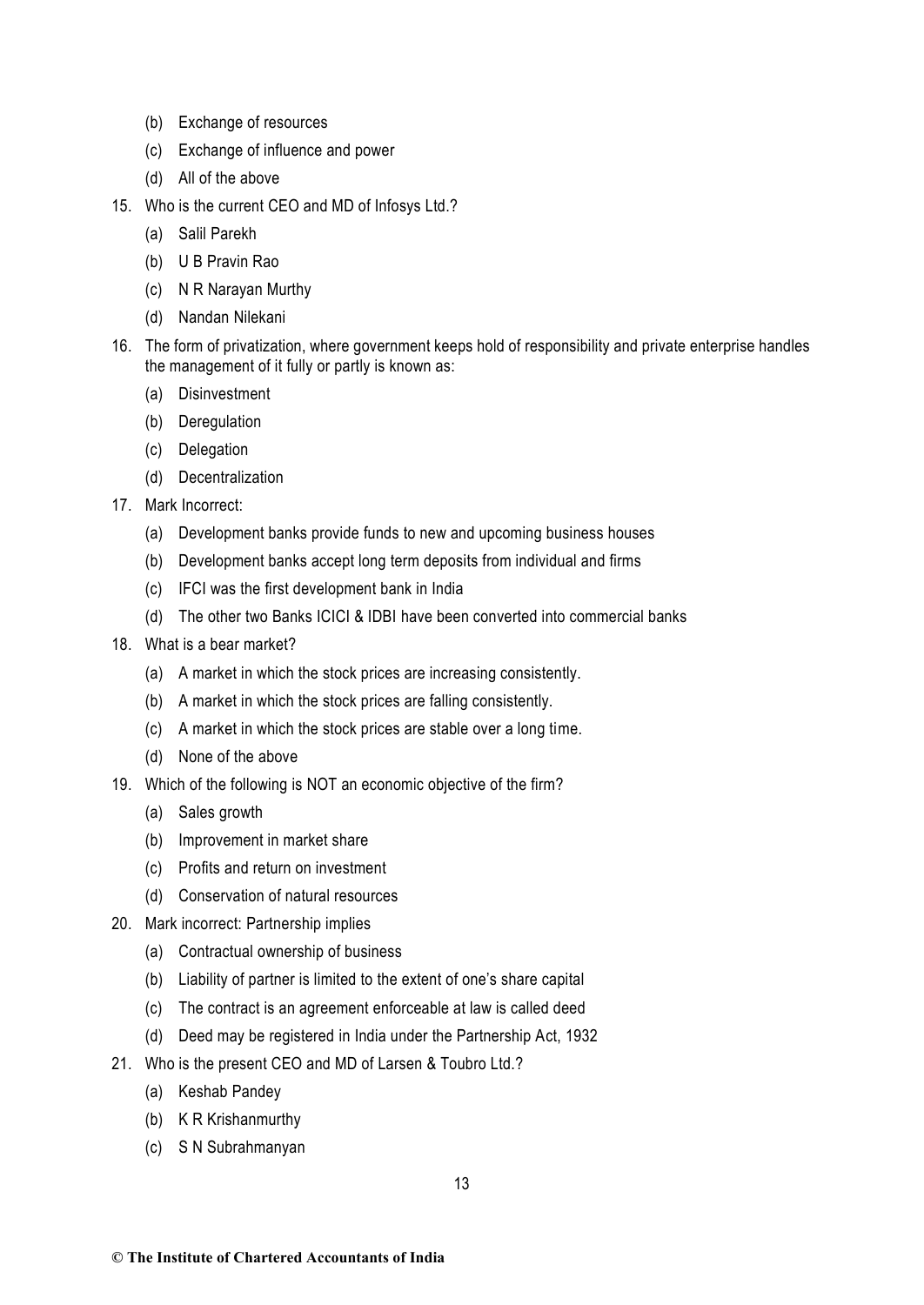- (b) Exchange of resources
- (c) Exchange of influence and power
- (d) All of the above
- 15. Who is the current CEO and MD of Infosys Ltd.?
	- (a) Salil Parekh
	- (b) U B Pravin Rao
	- (c) N R Narayan Murthy
	- (d) Nandan Nilekani
- 16. The form of privatization, where government keeps hold of responsibility and private enterprise handles the management of it fully or partly is known as:
	- (a) Disinvestment
	- (b) Deregulation
	- (c) Delegation
	- (d) Decentralization
- 17. Mark Incorrect:
	- (a) Development banks provide funds to new and upcoming business houses
	- (b) Development banks accept long term deposits from individual and firms
	- (c) IFCI was the first development bank in India
	- (d) The other two Banks ICICI & IDBI have been converted into commercial banks
- 18. What is a bear market?
	- (a) A market in which the stock prices are increasing consistently.
	- (b) A market in which the stock prices are falling consistently.
	- (c) A market in which the stock prices are stable over a long time.
	- (d) None of the above
- 19. Which of the following is NOT an economic objective of the firm?
	- (a) Sales growth
	- (b) Improvement in market share
	- (c) Profits and return on investment
	- (d) Conservation of natural resources
- 20. Mark incorrect: Partnership implies
	- (a) Contractual ownership of business
	- (b) Liability of partner is limited to the extent of one's share capital
	- (c) The contract is an agreement enforceable at law is called deed
	- (d) Deed may be registered in India under the Partnership Act, 1932
- 21. Who is the present CEO and MD of Larsen & Toubro Ltd.?
	- (a) Keshab Pandey
	- (b) K R Krishanmurthy
	- (c) S N Subrahmanyan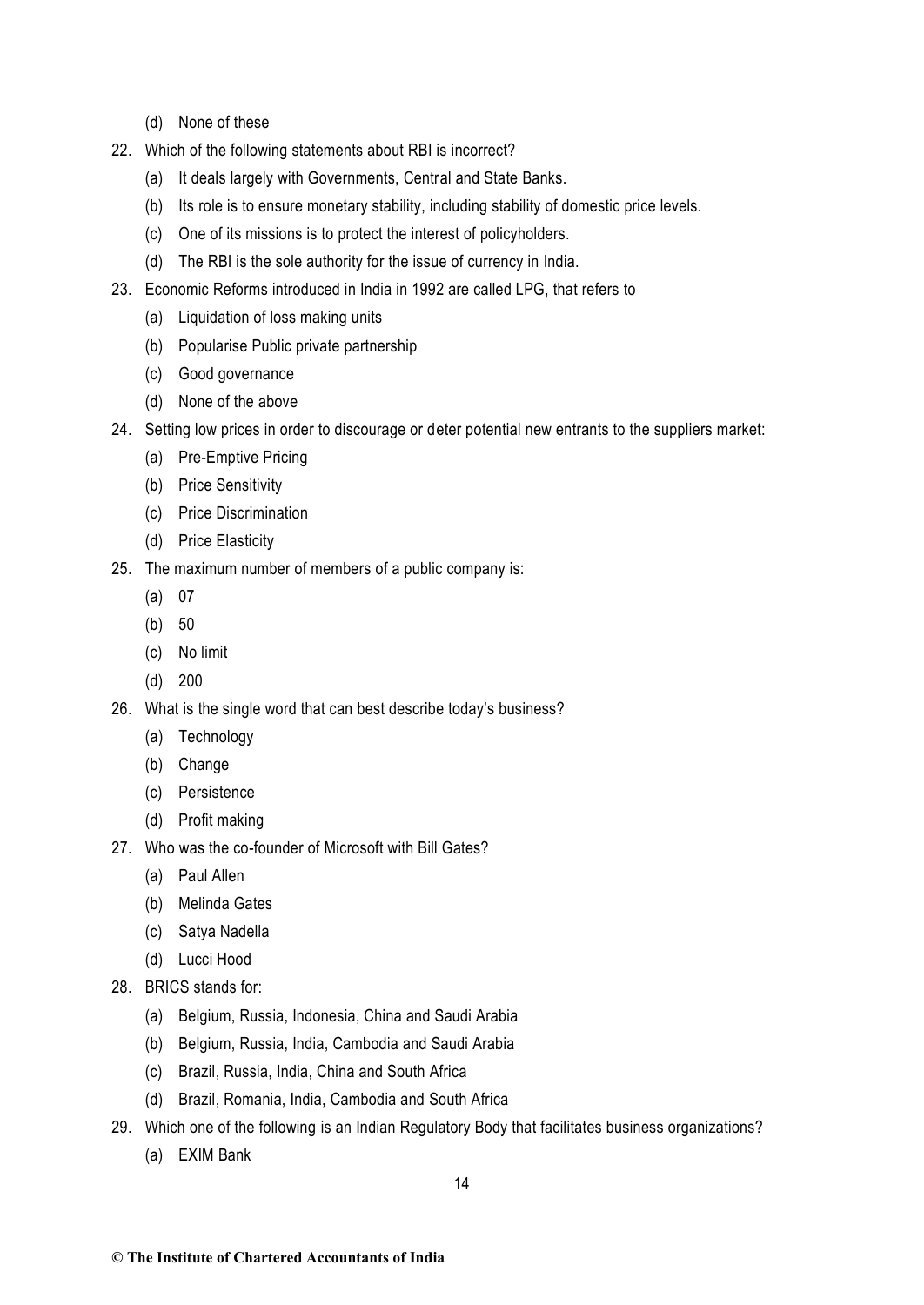- (d) None of these
- 22. Which of the following statements about RBI is incorrect?
	- (a) It deals largely with Governments, Central and State Banks.
	- (b) Its role is to ensure monetary stability, including stability of domestic price levels.
	- (c) One of its missions is to protect the interest of policyholders.
	- (d) The RBI is the sole authority for the issue of currency in India.
- 23. Economic Reforms introduced in India in 1992 are called LPG, that refers to
	- (a) Liquidation of loss making units
	- (b) Popularise Public private partnership
	- (c) Good governance
	- (d) None of the above
- 24. Setting low prices in order to discourage or deter potential new entrants to the suppliers market:
	- (a) Pre-Emptive Pricing
	- (b) Price Sensitivity
	- (c) Price Discrimination
	- (d) Price Elasticity
- 25. The maximum number of members of a public company is:
	- (a) 07
	- (b) 50
	- (c) No limit
	- (d) 200
- 26. What is the single word that can best describe today's business?
	- (a) Technology
	- (b) Change
	- (c) Persistence
	- (d) Profit making
- 27. Who was the co-founder of Microsoft with Bill Gates?
	- (a) Paul Allen
	- (b) Melinda Gates
	- (c) Satya Nadella
	- (d) Lucci Hood
- 28. BRICS stands for:
	- (a) Belgium, Russia, Indonesia, China and Saudi Arabia
	- (b) Belgium, Russia, India, Cambodia and Saudi Arabia
	- (c) Brazil, Russia, India, China and South Africa
	- (d) Brazil, Romania, India, Cambodia and South Africa
- 29. Which one of the following is an Indian Regulatory Body that facilitates business organizations?
	- (a) EXIM Bank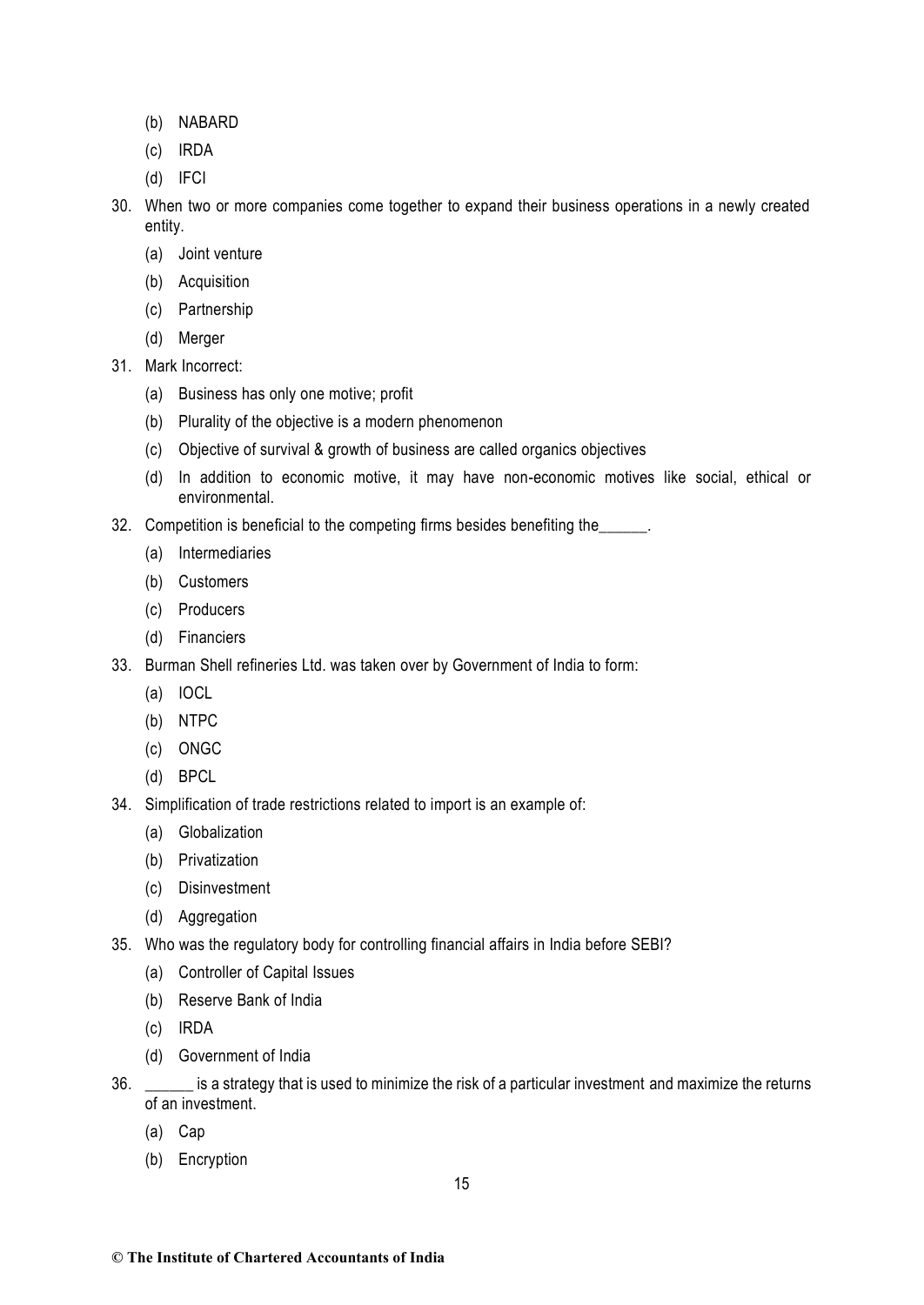- (b) NABARD
- (c) IRDA
- (d) IFCI
- 30. When two or more companies come together to expand their business operations in a newly created entity.
	- (a) Joint venture
	- (b) Acquisition
	- (c) Partnership
	- (d) Merger
- 31. Mark Incorrect:
	- (a) Business has only one motive; profit
	- (b) Plurality of the objective is a modern phenomenon
	- (c) Objective of survival & growth of business are called organics objectives
	- (d) In addition to economic motive, it may have non-economic motives like social, ethical or environmental.
- 32. Competition is beneficial to the competing firms besides benefiting the
	- (a) Intermediaries
	- (b) Customers
	- (c) Producers
	- (d) Financiers
- 33. Burman Shell refineries Ltd. was taken over by Government of India to form:
	- (a) IOCL
	- (b) NTPC
	- (c) ONGC
	- (d) BPCL
- 34. Simplification of trade restrictions related to import is an example of:
	- (a) Globalization
	- (b) Privatization
	- (c) Disinvestment
	- (d) Aggregation
- 35. Who was the regulatory body for controlling financial affairs in India before SEBI?
	- (a) Controller of Capital Issues
	- (b) Reserve Bank of India
	- (c) IRDA
	- (d) Government of India
- 36. \_\_\_\_\_\_ is a strategy that is used to minimize the risk of a particular investment and maximize the returns of an investment.
	- (a) Cap
	- (b) Encryption